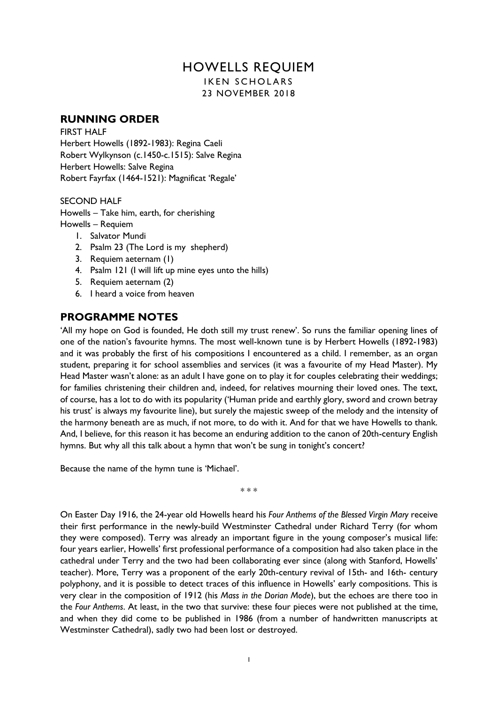# HOWELLS REQUIEM

**IKEN SCHOLARS** 23 NOVEMBER 2018

# **RUNNING ORDER**

FIRST HALF Herbert Howells (1892-1983): Regina Caeli Robert Wylkynson (c.1450-c.1515): Salve Regina Herbert Howells: Salve Regina Robert Fayrfax (1464-1521): Magnificat 'Regale'

# SECOND HALF

Howells – Take him, earth, for cherishing Howells – Requiem

- 1. Salvator Mundi
- 2. Psalm 23 (The Lord is my shepherd)
- 3. Requiem aeternam (1)
- 4. Psalm 121 (I will lift up mine eyes unto the hills)
- 5. Requiem aeternam (2)
- 6. I heard a voice from heaven

# **PROGRAMME NOTES**

'All my hope on God is founded, He doth still my trust renew'. So runs the familiar opening lines of one of the nation's favourite hymns. The most well-known tune is by Herbert Howells (1892-1983) and it was probably the first of his compositions I encountered as a child. I remember, as an organ student, preparing it for school assemblies and services (it was a favourite of my Head Master). My Head Master wasn't alone: as an adult I have gone on to play it for couples celebrating their weddings; for families christening their children and, indeed, for relatives mourning their loved ones. The text, of course, has a lot to do with its popularity ('Human pride and earthly glory, sword and crown betray his trust' is always my favourite line), but surely the majestic sweep of the melody and the intensity of the harmony beneath are as much, if not more, to do with it. And for that we have Howells to thank. And, I believe, for this reason it has become an enduring addition to the canon of 20th-century English hymns. But why all this talk about a hymn that won't be sung in tonight's concert?

Because the name of the hymn tune is 'Michael'.

\* \* \*

On Easter Day 1916, the 24-year old Howells heard his *Four Anthems of the Blessed Virgin Mary* receive their first performance in the newly-build Westminster Cathedral under Richard Terry (for whom they were composed). Terry was already an important figure in the young composer's musical life: four years earlier, Howells' first professional performance of a composition had also taken place in the cathedral under Terry and the two had been collaborating ever since (along with Stanford, Howells' teacher). More, Terry was a proponent of the early 20th-century revival of 15th- and 16th- century polyphony, and it is possible to detect traces of this influence in Howells' early compositions. This is very clear in the composition of 1912 (his *Mass in the Dorian Mode*), but the echoes are there too in the *Four Anthems*. At least, in the two that survive: these four pieces were not published at the time, and when they did come to be published in 1986 (from a number of handwritten manuscripts at Westminster Cathedral), sadly two had been lost or destroyed.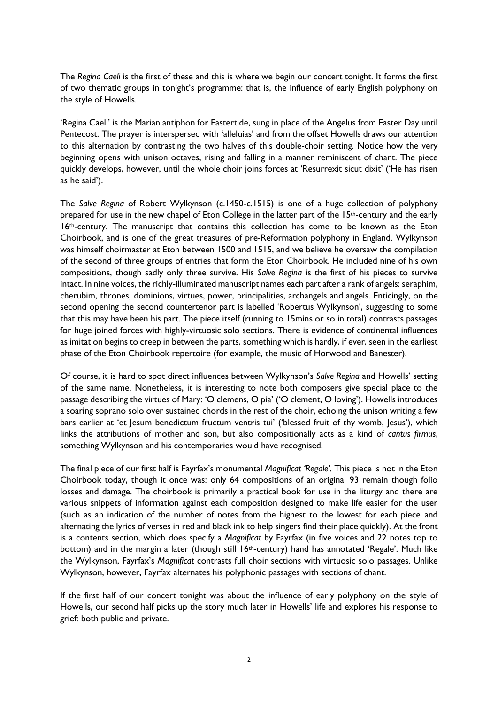The *Regina Caeli* is the first of these and this is where we begin our concert tonight. It forms the first of two thematic groups in tonight's programme: that is, the influence of early English polyphony on the style of Howells.

'Regina Caeli' is the Marian antiphon for Eastertide, sung in place of the Angelus from Easter Day until Pentecost. The prayer is interspersed with 'alleluias' and from the offset Howells draws our attention to this alternation by contrasting the two halves of this double-choir setting. Notice how the very beginning opens with unison octaves, rising and falling in a manner reminiscent of chant. The piece quickly develops, however, until the whole choir joins forces at 'Resurrexit sicut dixit' ('He has risen as he said').

The *Salve Regina* of Robert Wylkynson (c.1450-c.1515) is one of a huge collection of polyphony prepared for use in the new chapel of Eton College in the latter part of the 15<sup>th</sup>-century and the early 16th-century. The manuscript that contains this collection has come to be known as the Eton Choirbook, and is one of the great treasures of pre-Reformation polyphony in England. Wylkynson was himself choirmaster at Eton between 1500 and 1515, and we believe he oversaw the compilation of the second of three groups of entries that form the Eton Choirbook. He included nine of his own compositions, though sadly only three survive. His *Salve Regina* is the first of his pieces to survive intact. In nine voices, the richly-illuminated manuscript names each part after a rank of angels: seraphim, cherubim, thrones, dominions, virtues, power, principalities, archangels and angels. Enticingly, on the second opening the second countertenor part is labelled 'Robertus Wylkynson', suggesting to some that this may have been his part. The piece itself (running to 15mins or so in total) contrasts passages for huge joined forces with highly-virtuosic solo sections. There is evidence of continental influences as imitation begins to creep in between the parts, something which is hardly, if ever, seen in the earliest phase of the Eton Choirbook repertoire (for example, the music of Horwood and Banester).

Of course, it is hard to spot direct influences between Wylkynson's *Salve Regina* and Howells' setting of the same name. Nonetheless, it is interesting to note both composers give special place to the passage describing the virtues of Mary: 'O clemens, O pia' ('O clement, O loving'). Howells introduces a soaring soprano solo over sustained chords in the rest of the choir, echoing the unison writing a few bars earlier at 'et Jesum benedictum fructum ventris tui' ('blessed fruit of thy womb, Jesus'), which links the attributions of mother and son, but also compositionally acts as a kind of *cantus firmus*, something Wylkynson and his contemporaries would have recognised.

The final piece of our first half is Fayrfax's monumental *Magnificat 'Regale'.* This piece is not in the Eton Choirbook today, though it once was: only 64 compositions of an original 93 remain though folio losses and damage. The choirbook is primarily a practical book for use in the liturgy and there are various snippets of information against each composition designed to make life easier for the user (such as an indication of the number of notes from the highest to the lowest for each piece and alternating the lyrics of verses in red and black ink to help singers find their place quickly). At the front is a contents section, which does specify a *Magnificat* by Fayrfax (in five voices and 22 notes top to bottom) and in the margin a later (though still 16th-century) hand has annotated 'Regale'. Much like the Wylkynson, Fayrfax's *Magnificat* contrasts full choir sections with virtuosic solo passages. Unlike Wylkynson, however, Fayrfax alternates his polyphonic passages with sections of chant.

If the first half of our concert tonight was about the influence of early polyphony on the style of Howells, our second half picks up the story much later in Howells' life and explores his response to grief: both public and private.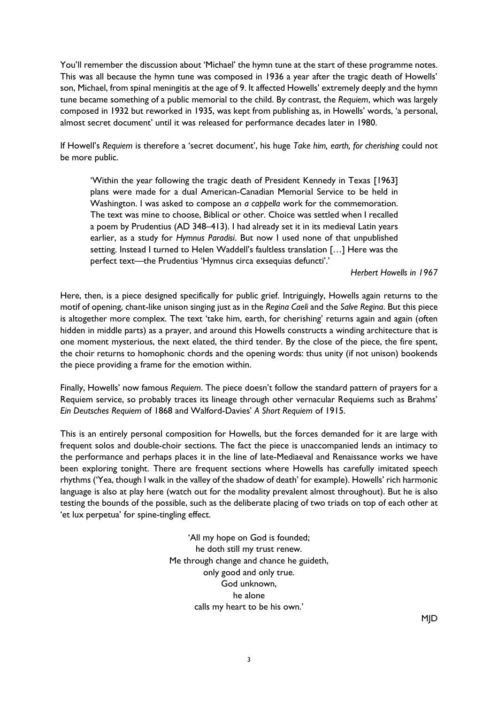You'll remember the discussion about 'Michael' the hymn tune at the start of these programme notes. This was all because the hymn tune was composed in 1936 a year after the tragic death of Howells' son, Michael, from spinal meningitis at the age of 9. It affected Howells' extremely deeply and the hymn tune became something of a public memorial to the child. By contrast, the *Requiem*, which was largely composed in 1932 but reworked in 1935, was kept from publishing as, in Howells' words, 'a personal, almost secret document' until it was released for performance decades later in 1980.

If Howell's *Requiem* is therefore a 'secret document', his huge *Take him, earth, for cherishing* could not be more public.

'Within the year following the tragic death of President Kennedy in Texas [1963] plans were made for a dual American-Canadian Memorial Service to be held in Washington. I was asked to compose an *a cappella* work for the commemoration. The text was mine to choose, Biblical or other. Choice was settled when I recalled a poem by Prudentius (AD 348–413). I had already set it in its medieval Latin years earlier, as a study for *Hymnus Paradisi*. But now I used none of that unpublished setting. Instead I turned to Helen Waddell's faultless translation […] Here was the perfect text—the Prudentius 'Hymnus circa exsequias defuncti'.'

*Herbert Howells in 1967*

Here, then, is a piece designed specifically for public grief. Intriguingly, Howells again returns to the motif of opening, chant-like unison singing just as in the *Regina Caeli* and the *Salve Regina*. But this piece is altogether more complex. The text 'take him, earth, for cherishing' returns again and again (often hidden in middle parts) as a prayer, and around this Howells constructs a winding architecture that is one moment mysterious, the next elated, the third tender. By the close of the piece, the fire spent, the choir returns to homophonic chords and the opening words: thus unity (if not unison) bookends the piece providing a frame for the emotion within.

Finally, Howells' now famous *Requiem*. The piece doesn't follow the standard pattern of prayers for a Requiem service, so probably traces its lineage through other vernacular Requiems such as Brahms' *Ein Deutsches Requiem* of 1868 and Walford-Davies' *A Short Requiem* of 1915.

This is an entirely personal composition for Howells, but the forces demanded for it are large with frequent solos and double-choir sections. The fact the piece is unaccompanied lends an intimacy to the performance and perhaps places it in the line of late-Mediaeval and Renaissance works we have been exploring tonight. There are frequent sections where Howells has carefully imitated speech rhythms ('Yea, though I walk in the valley of the shadow of death' for example). Howells' rich harmonic language is also at play here (watch out for the modality prevalent almost throughout). But he is also testing the bounds of the possible, such as the deliberate placing of two triads on top of each other at 'et lux perpetua' for spine-tingling effect.

> 'All my hope on God is founded; he doth still my trust renew. Me through change and chance he guideth, only good and only true. God unknown, he alone calls my heart to be his own.'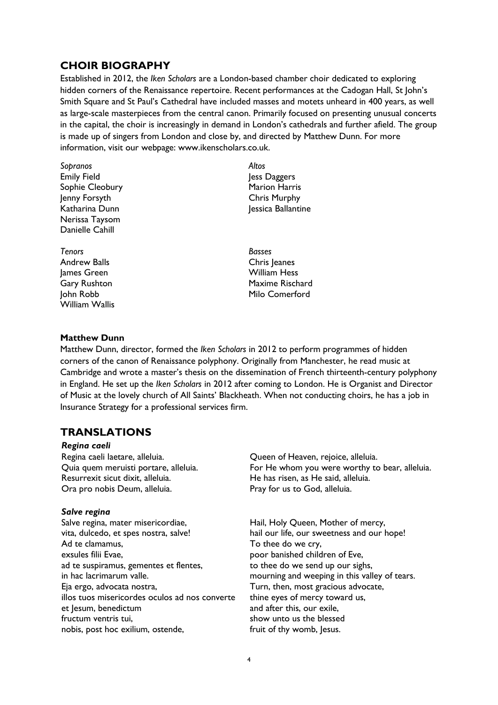# **CHOIR BIOGRAPHY**

Established in 2012, the *Iken Scholars* are a London-based chamber choir dedicated to exploring hidden corners of the Renaissance repertoire. Recent performances at the Cadogan Hall, St John's Smith Square and St Paul's Cathedral have included masses and motets unheard in 400 years, as well as large-scale masterpieces from the central canon. Primarily focused on presenting unusual concerts in the capital, the choir is increasingly in demand in London's cathedrals and further afield. The group is made up of singers from London and close by, and directed by Matthew Dunn. For more information, visit our webpage: www.ikenscholars.co.uk.

- *Sopranos* Emily Field Sophie Cleobury Jenny Forsyth Katharina Dunn Nerissa Taysom Danielle Cahill
- *Tenors* Andrew Balls James Green Gary Rushton John Robb William Wallis

# *Altos* Jess Daggers Marion Harris Chris Murphy Jessica Ballantine

*Basses* Chris Jeanes William Hess Maxime Rischard Milo Comerford

# **Matthew Dunn**

Matthew Dunn, director, formed the *Iken Scholars* in 2012 to perform programmes of hidden corners of the canon of Renaissance polyphony. Originally from Manchester, he read music at Cambridge and wrote a master's thesis on the dissemination of French thirteenth-century polyphony in England. He set up the *Iken Scholars* in 2012 after coming to London. He is Organist and Director of Music at the lovely church of All Saints' Blackheath. When not conducting choirs, he has a job in Insurance Strategy for a professional services firm.

# **TRANSLATIONS**

### *Regina caeli*

Regina caeli laetare, alleluia. Quia quem meruisti portare, alleluia. Resurrexit sicut dixit, alleluia. Ora pro nobis Deum, alleluia.

# *Salve regina*

Salve regina, mater misericordiae, vita, dulcedo, et spes nostra, salve! Ad te clamamus, exsules filii Evae, ad te suspiramus, gementes et flentes, in hac lacrimarum valle. Eja ergo, advocata nostra, illos tuos misericordes oculos ad nos converte et lesum, benedictum fructum ventris tui, nobis, post hoc exilium, ostende,

Queen of Heaven, rejoice, alleluia. For He whom you were worthy to bear, alleluia. He has risen, as He said, alleluia. Pray for us to God, alleluia.

Hail, Holy Queen, Mother of mercy, hail our life, our sweetness and our hope! To thee do we cry, poor banished children of Eve, to thee do we send up our sighs, mourning and weeping in this valley of tears. Turn, then, most gracious advocate, thine eyes of mercy toward us, and after this, our exile, show unto us the blessed fruit of thy womb, lesus.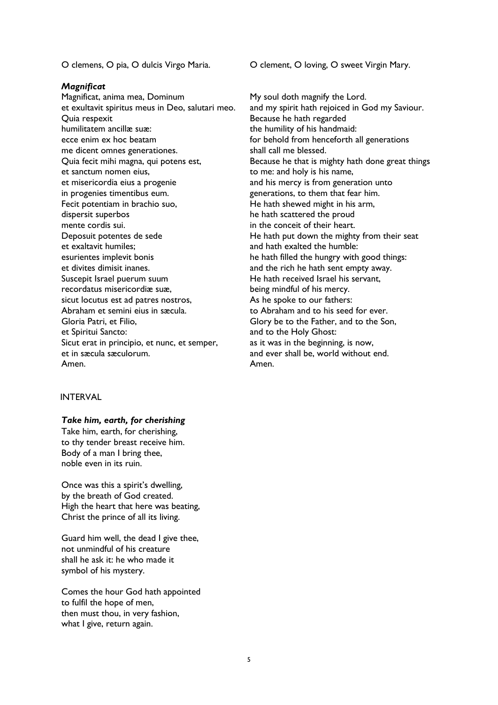#### *Magnificat*

Magnificat, anima mea, Dominum et exultavit spiritus meus in Deo, salutari meo. Quia respexit humilitatem ancillæ suæ: ecce enim ex hoc beatam me dicent omnes generationes. Quia fecit mihi magna, qui potens est, et sanctum nomen eius, et misericordia eius a progenie in progenies timentibus eum. Fecit potentiam in brachio suo, dispersit superbos mente cordis sui. Deposuit potentes de sede et exaltavit humiles; esurientes implevit bonis et divites dimisit inanes. Suscepit Israel puerum suum recordatus misericordiæ suæ, sicut locutus est ad patres nostros, Abraham et semini eius in sæcula. Gloria Patri, et Filio, et Spiritui Sancto: Sicut erat in principio, et nunc, et semper, et in sæcula sæculorum. Amen.

#### INTERVAL

#### *Take him, earth, for cherishing*

Take him, earth, for cherishing, to thy tender breast receive him. Body of a man I bring thee, noble even in its ruin.

Once was this a spirit's dwelling, by the breath of God created. High the heart that here was beating, Christ the prince of all its living.

Guard him well, the dead I give thee, not unmindful of his creature shall he ask it: he who made it symbol of his mystery.

Comes the hour God hath appointed to fulfil the hope of men, then must thou, in very fashion, what I give, return again.

O clemens, O pia, O dulcis Virgo Maria. O clement, O loving, O sweet Virgin Mary.

My soul doth magnify the Lord. and my spirit hath rejoiced in God my Saviour. Because he hath regarded the humility of his handmaid: for behold from henceforth all generations shall call me blessed. Because he that is mighty hath done great things to me: and holy is his name, and his mercy is from generation unto generations, to them that fear him. He hath shewed might in his arm, he hath scattered the proud in the conceit of their heart. He hath put down the mighty from their seat and hath exalted the humble: he hath filled the hungry with good things: and the rich he hath sent empty away. He hath received Israel his servant, being mindful of his mercy. As he spoke to our fathers: to Abraham and to his seed for ever. Glory be to the Father, and to the Son, and to the Holy Ghost: as it was in the beginning, is now, and ever shall be, world without end. Amen.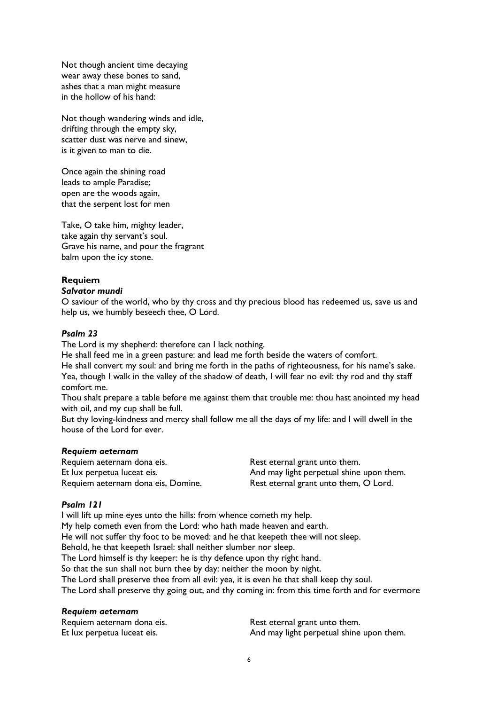Not though ancient time decaying wear away these bones to sand, ashes that a man might measure in the hollow of his hand:

Not though wandering winds and idle, drifting through the empty sky, scatter dust was nerve and sinew, is it given to man to die.

Once again the shining road leads to ample Paradise; open are the woods again, that the serpent lost for men

Take, O take him, mighty leader, take again thy servant's soul. Grave his name, and pour the fragrant balm upon the icy stone.

# **Requiem**

# *Salvator mundi*

O saviour of the world, who by thy cross and thy precious blood has redeemed us, save us and help us, we humbly beseech thee, O Lord.

# *Psalm 23*

The Lord is my shepherd: therefore can I lack nothing.

He shall feed me in a green pasture: and lead me forth beside the waters of comfort. He shall convert my soul: and bring me forth in the paths of righteousness, for his name's sake. Yea, though I walk in the valley of the shadow of death, I will fear no evil: thy rod and thy staff comfort me.

Thou shalt prepare a table before me against them that trouble me: thou hast anointed my head with oil, and my cup shall be full.

But thy loving-kindness and mercy shall follow me all the days of my life: and I will dwell in the house of the Lord for ever.

# *Requiem aeternam*

Requiem aeternam dona eis. Et lux perpetua luceat eis. Requiem aeternam dona eis, Domine. Rest eternal grant unto them. And may light perpetual shine upon them. Rest eternal grant unto them, O Lord.

# *Psalm 121*

I will lift up mine eyes unto the hills: from whence cometh my help. My help cometh even from the Lord: who hath made heaven and earth. He will not suffer thy foot to be moved: and he that keepeth thee will not sleep. Behold, he that keepeth Israel: shall neither slumber nor sleep. The Lord himself is thy keeper: he is thy defence upon thy right hand. So that the sun shall not burn thee by day: neither the moon by night. The Lord shall preserve thee from all evil: yea, it is even he that shall keep thy soul. The Lord shall preserve thy going out, and thy coming in: from this time forth and for evermore

# *Requiem aeternam*

| Requiem aeternam dona eis.  | Rest eternal grant unto them.            |
|-----------------------------|------------------------------------------|
| Et lux perpetua luceat eis. | And may light perpetual shine upon them. |